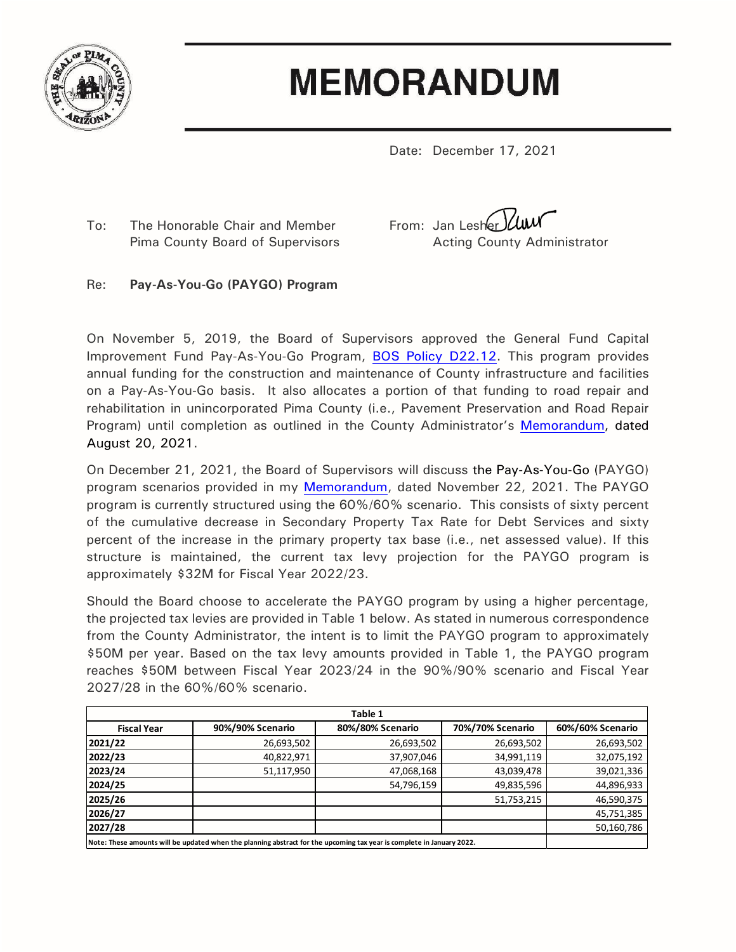

## **MEMORANDUM**

Date: December 17, 2021

To: The Honorable Chair and Member From: Jan Lesher VUU

Pima County Board of Supervisors **Acting County Administrator** 

## Re: **Pay-As-You-Go (PAYGO) Program**

On November 5, 2019, the Board of Supervisors approved the General Fund Capital Improvement Fund Pay-As-You-Go Program, [BOS Policy D22.12.](https://webcms.pima.gov/UserFiles/Servers/Server_6/File/Government/Clerk%20of%20the%20Board/Policies/D22-12.pdf) This program provides annual funding for the construction and maintenance of County infrastructure and facilities on a Pay-As-You-Go basis. It also allocates a portion of that funding to road repair and rehabilitation in unincorporated Pima County (i.e., Pavement Preservation and Road Repair Program) until completion as outlined in the County Administrator's [Memorandum,](https://webcms.pima.gov/UserFiles/Servers/Server_6/File/Government/Administration/CHHmemosFor%20Web/2021/August/August%2020,%202021%20-%20Update%20of%20Pavement%20Preservation%20and%20Road%20Repair%20Program.pdf) dated August 20, 2021.

On December 21, 2021, the Board of Supervisors will discuss the Pay-As-You-Go (PAYGO) program scenarios provided in my [Memorandum,](https://webcms.pima.gov/UserFiles/Servers/Server_6/File/Government/Administration/CHHmemosFor%20Web/2021/November/November%2022,%202021%20-%20Pay-As-You-Go%20(PAYGO)%20Tax%20Levy%20and%20Estimated%20Collections.pdf) dated November 22, 2021. The PAYGO program is currently structured using the 60%/60% scenario. This consists of sixty percent of the cumulative decrease in Secondary Property Tax Rate for Debt Services and sixty percent of the increase in the primary property tax base (i.e., net assessed value). If this structure is maintained, the current tax levy projection for the PAYGO program is approximately \$32M for Fiscal Year 2022/23.

Should the Board choose to accelerate the PAYGO program by using a higher percentage, the projected tax levies are provided in Table 1 below. As stated in numerous correspondence from the County Administrator, the intent is to limit the PAYGO program to approximately \$50M per year. Based on the tax levy amounts provided in Table 1, the PAYGO program reaches \$50M between Fiscal Year 2023/24 in the 90%/90% scenario and Fiscal Year 2027/28 in the 60%/60% scenario.

| Table 1                                                                                                               |                  |                  |                  |                  |  |  |
|-----------------------------------------------------------------------------------------------------------------------|------------------|------------------|------------------|------------------|--|--|
| <b>Fiscal Year</b>                                                                                                    | 90%/90% Scenario | 80%/80% Scenario | 70%/70% Scenario | 60%/60% Scenario |  |  |
| 2021/22                                                                                                               | 26,693,502       | 26,693,502       | 26,693,502       | 26,693,502       |  |  |
| 2022/23                                                                                                               | 40,822,971       | 37,907,046       | 34,991,119       | 32,075,192       |  |  |
| 2023/24                                                                                                               | 51,117,950       | 47,068,168       | 43,039,478       | 39,021,336       |  |  |
| 2024/25                                                                                                               |                  | 54,796,159       | 49,835,596       | 44,896,933       |  |  |
| 2025/26                                                                                                               |                  |                  | 51,753,215       | 46,590,375       |  |  |
| 2026/27                                                                                                               |                  |                  |                  | 45,751,385       |  |  |
| 2027/28                                                                                                               |                  |                  |                  | 50,160,786       |  |  |
| Note: These amounts will be updated when the planning abstract for the upcoming tax year is complete in January 2022. |                  |                  |                  |                  |  |  |